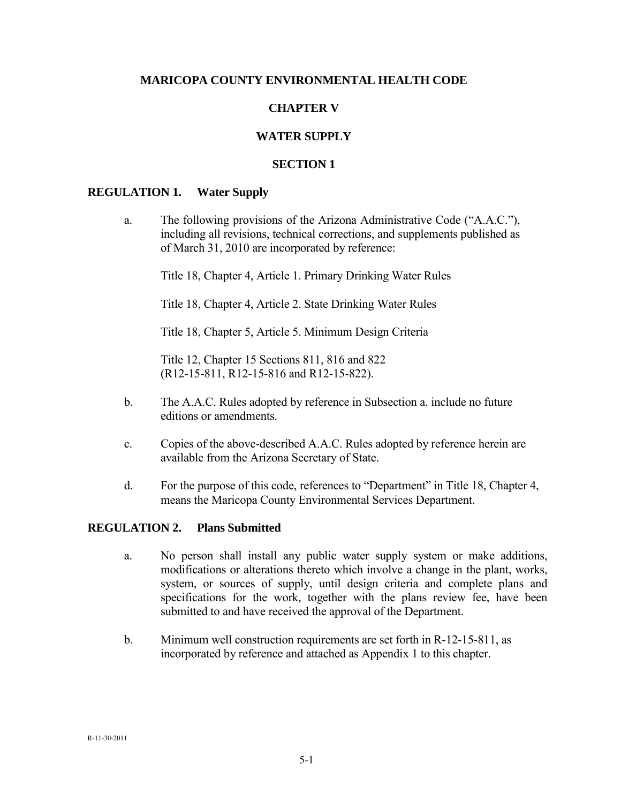## **MARICOPA COUNTY ENVIRONMENTAL HEALTH CODE**

# **CHAPTER V**

# **WATER SUPPLY**

## **SECTION 1**

#### **REGULATION 1. Water Supply**

a. The following provisions of the Arizona Administrative Code ("A.A.C."), including all revisions, technical corrections, and supplements published as of March 31, 2010 are incorporated by reference:

Title 18, Chapter 4, Article 1. Primary Drinking Water Rules

Title 18, Chapter 4, Article 2. State Drinking Water Rules

Title 18, Chapter 5, Article 5. Minimum Design Criteria

Title 12, Chapter 15 Sections 811, 816 and 822 (R12-15-811, R12-15-816 and R12-15-822).

- b. The A.A.C. Rules adopted by reference in Subsection a. include no future editions or amendments.
- c. Copies of the above-described A.A.C. Rules adopted by reference herein are available from the Arizona Secretary of State.
- d. For the purpose of this code, references to "Department" in Title 18, Chapter 4, means the Maricopa County Environmental Services Department.

#### **REGULATION 2. Plans Submitted**

- a. No person shall install any public water supply system or make additions, modifications or alterations thereto which involve a change in the plant, works, system, or sources of supply, until design criteria and complete plans and specifications for the work, together with the plans review fee, have been submitted to and have received the approval of the Department.
- b. Minimum well construction requirements are set forth in R-12-15-811, as incorporated by reference and attached as Appendix 1 to this chapter.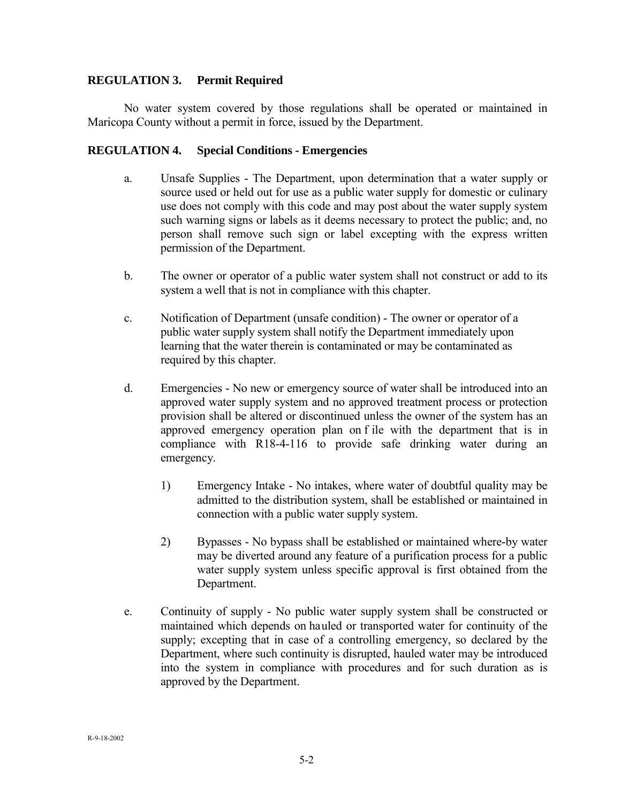## **REGULATION 3. Permit Required**

No water system covered by those regulations shall be operated or maintained in Maricopa County without a permit in force, issued by the Department.

## **REGULATION 4. Special Conditions - Emergencies**

- a. Unsafe Supplies The Department, upon determination that a water supply or source used or held out for use as a public water supply for domestic or culinary use does not comply with this code and may post about the water supply system such warning signs or labels as it deems necessary to protect the public; and, no person shall remove such sign or label excepting with the express written permission of the Department.
- b. The owner or operator of a public water system shall not construct or add to its system a well that is not in compliance with this chapter.
- c. Notification of Department (unsafe condition) The owner or operator of a public water supply system shall notify the Department immediately upon learning that the water therein is contaminated or may be contaminated as required by this chapter.
- d. Emergencies No new or emergency source of water shall be introduced into an approved water supply system and no approved treatment process or protection provision shall be altered or discontinued unless the owner of the system has an approved emergency operation plan on f ile with the department that is in compliance with R18-4-116 to provide safe drinking water during an emergency.
	- 1) Emergency Intake No intakes, where water of doubtful quality may be admitted to the distribution system, shall be established or maintained in connection with a public water supply system.
	- 2) Bypasses No bypass shall be established or maintained where-by water may be diverted around any feature of a purification process for a public water supply system unless specific approval is first obtained from the Department.
- e. Continuity of supply No public water supply system shall be constructed or maintained which depends on hauled or transported water for continuity of the supply; excepting that in case of a controlling emergency, so declared by the Department, where such continuity is disrupted, hauled water may be introduced into the system in compliance with procedures and for such duration as is approved by the Department.